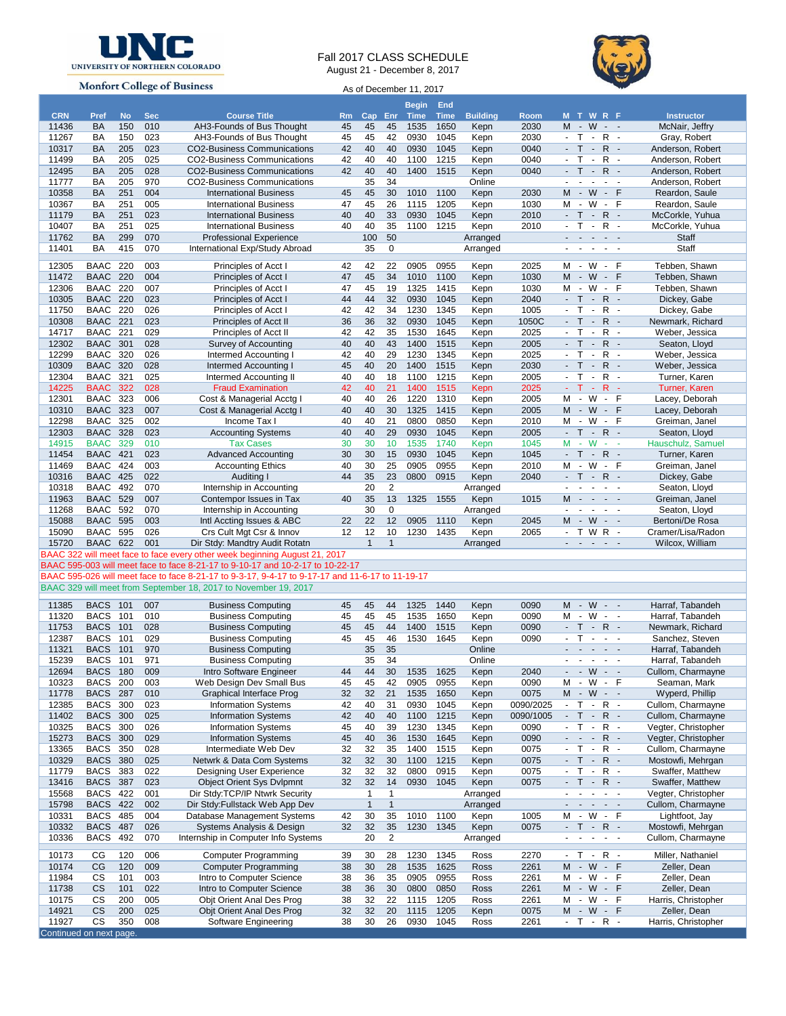

## Fall 2017 CLASS SCHEDULE August 21 - December 8, 2017



**Monfort College of Business** 

As of December 11, 2017

| <b>CRN</b>              | Pref                               | <b>No</b>  | <b>Sec</b> | <b>Course Title</b>                                                                                          | R <sub>m</sub> | Cap          | Enr            | <b>Begin</b><br>Time | End<br><b>Time</b> | <b>Building</b>  | <b>Room</b>  |                             | <b>MTWRF</b>                                |                   |                                                                 | <b>Instructor</b>                   |
|-------------------------|------------------------------------|------------|------------|--------------------------------------------------------------------------------------------------------------|----------------|--------------|----------------|----------------------|--------------------|------------------|--------------|-----------------------------|---------------------------------------------|-------------------|-----------------------------------------------------------------|-------------------------------------|
| 11436                   | <b>BA</b>                          | 150        | 010        | AH3-Founds of Bus Thought                                                                                    | 45             | 45           | 45             | 1535                 | 1650               | Kepn             | 2030         |                             | M - W - -                                   |                   |                                                                 | McNair, Jeffry                      |
| 11267                   | BA                                 | 150        | 023        | AH3-Founds of Bus Thought                                                                                    | 45             | 45           | 42             | 0930                 | 1045               | Kepn             | 2030         | $-$ T                       | $\sim$                                      |                   | $R -$                                                           | Gray, Robert                        |
| 10317                   | BA                                 | 205        | 023        | <b>CO2-Business Communications</b>                                                                           | 42             | 40           | 40             | 0930                 | 1045               | Kepn             | 0040         | $-$ T                       | €                                           |                   | $R -$                                                           | Anderson, Robert                    |
| 11499                   | BA                                 | 205        | 025        | <b>CO2-Business Communications</b>                                                                           | 42             | 40           | 40             | 1100                 | 1215               | Kepn             | 0040         | $-$ T                       | $\sim$                                      |                   | $R -$                                                           | Anderson, Robert                    |
| 12495                   | BA                                 | 205        | 028        | <b>CO2-Business Communications</b>                                                                           | 42             | 40           | 40             | 1400                 | 1515               | Kepn             | 0040         | $\omega$                    | $\mathsf{T}$                                | $-R -$            |                                                                 | Anderson, Robert                    |
| 11777                   | BA                                 | 205        | 970        | <b>CO2-Business Communications</b>                                                                           |                | 35           | 34             |                      |                    | Online           |              | $\omega$                    | $\mathbf{r}$<br>$\mathbf{r}$                | $\blacksquare$    | $\sim$                                                          | Anderson, Robert                    |
| 10358                   | BA                                 | 251        | 004        | <b>International Business</b>                                                                                | 45             | 45           | 30             | 1010                 | 1100               | Kepn             | 2030         | M -                         |                                             |                   | $W - F$                                                         | Reardon, Saule                      |
| 10367                   | BA                                 | 251        | 005        | <b>International Business</b>                                                                                | 47             | 45           | 26             | 1115                 | 1205               | Kepn             | 1030         | м                           | - W - F                                     |                   |                                                                 | Reardon, Saule                      |
| 11179                   | <b>BA</b><br>BA                    | 251<br>251 | 023<br>025 | <b>International Business</b>                                                                                | 40<br>40       | 40<br>40     | 33             | 0930<br>1100         | 1045<br>1215       | Kepn             | 2010<br>2010 | $\sim$<br>$-$ T             | $T -$<br>$\sim$                             |                   | $R -$<br>$R -$                                                  | McCorkle, Yuhua                     |
| 10407<br>11762          | <b>BA</b>                          | 299        | 070        | <b>International Business</b><br><b>Professional Experience</b>                                              |                | 100          | 35<br>50       |                      |                    | Kepn<br>Arranged |              |                             | بالمنابذ المنابذ                            |                   |                                                                 | McCorkle, Yuhua<br>Staff            |
| 11401                   | BA                                 | 415        | 070        | International Exp/Study Abroad                                                                               |                | 35           | 0              |                      |                    | Arranged         |              | $\omega$                    | $\sim$<br>$\sim$                            | $\omega$          |                                                                 | Staff                               |
|                         |                                    |            |            |                                                                                                              |                |              |                |                      |                    |                  |              |                             |                                             |                   |                                                                 |                                     |
| 12305                   | BAAC                               | 220        | 003        | Principles of Acct I                                                                                         | 42             | 42           | 22             | 0905                 | 0955               | Kepn             | 2025         |                             | M - W - F                                   |                   |                                                                 | Tebben, Shawn                       |
| 11472                   | <b>BAAC</b>                        | 220        | 004        | Principles of Acct I                                                                                         | 47             | 45           | 34             | 1010                 | 1100               | Kepn             | 1030         |                             | M - W - F                                   |                   |                                                                 | Tebben, Shawn                       |
| 12306<br>10305          | BAAC<br><b>BAAC 220</b>            | 220        | 007<br>023 | Principles of Acct I<br>Principles of Acct I                                                                 | 47<br>44       | 45<br>44     | 19<br>32       | 1325<br>0930         | 1415<br>1045       | Kepn<br>Kepn     | 1030<br>2040 |                             | $M - W$<br>$-T$ $-$                         |                   | - F<br>$R -$                                                    | Tebben, Shawn<br>Dickey, Gabe       |
| 11750                   | <b>BAAC</b>                        | 220        | 026        | Principles of Acct I                                                                                         | 42             | 42           | 34             | 1230                 | 1345               | Kepn             | 1005         | $-$ T                       | $\mathcal{L}$                               |                   | $R -$                                                           | Dickey, Gabe                        |
| 10308                   | BAAC 221                           |            | 023        | Principles of Acct II                                                                                        | 36             | 36           | 32             | 0930                 | 1045               | Kepn             | 1050C        | $-$ T                       | $\sim$                                      |                   | $R -$                                                           | Newmark, Richard                    |
| 14717                   | <b>BAAC</b>                        | 221        | 029        | Principles of Acct II                                                                                        | 42             | 42           | 35             | 1530                 | 1645               | Kepn             | 2025         | $\omega$                    | $\mathsf{T}$<br>$\sim$                      |                   | $R -$                                                           | Weber, Jessica                      |
| 12302                   | <b>BAAC 301</b>                    |            | 028        | Survey of Accounting                                                                                         | 40             | 40           | 43             | 1400                 | 1515               | Kepn             | 2005         | $\sim$                      | $\mathsf{T}$<br>$\sim$                      |                   | $R -$                                                           | Seaton, Lloyd                       |
| 12299                   | <b>BAAC</b>                        | 320        | 026        | Intermed Accounting I                                                                                        | 42             | 40           | 29             | 1230                 | 1345               | Kepn             | 2025         | $\blacksquare$              | $\mathsf{T}$<br>$\mathcal{L}_{\mathcal{C}}$ |                   | $R -$                                                           | Weber, Jessica                      |
| 10309                   | <b>BAAC 320</b>                    |            | 028        | Intermed Accounting I                                                                                        | 45             | 40           | 20             | 1400                 | 1515               | Kepn             | 2030         |                             | $-T$ $-$                                    |                   | $R -$                                                           | Weber, Jessica                      |
| 12304                   | BAAC                               | 321        | 025        | Intermed Accounting II                                                                                       | 40             | 40           | 18             | 1100                 | 1215               | Kepn             | 2005         | $\omega$                    | $\mathsf{T}$<br>$\sim$                      | R                 | $\sim$                                                          | Turner, Karen                       |
| 14225                   | <b>BAAC</b>                        | 322        | 028        | <b>Fraud Examination</b>                                                                                     | 42             | 40           | 21             | 1400                 | 1515               | Kepn             | 2025         | $-$ T.                      | $\sim$                                      |                   | $R -$                                                           | Turner, Karen                       |
| 12301                   | <b>BAAC</b>                        | 323        | 006        | Cost & Managerial Acctg I                                                                                    | 40             | 40           | 26             | 1220                 | 1310               | Kepn             | 2005         |                             | $M - W$                                     |                   | $-$ F                                                           | Lacey, Deborah                      |
| 10310                   | <b>BAAC</b>                        | 323        | 007        | Cost & Managerial Acctg I                                                                                    | 40             | 40           | 30             | 1325                 | 1415               | Kepn             | 2005         |                             | $M - W$                                     | $\blacksquare$    | - F                                                             | Lacey, Deborah                      |
| 12298                   | <b>BAAC</b>                        | 325        | 002        | Income Tax I                                                                                                 | 40             | 40           | 21             | 0800                 | 0850               | Kepn             | 2010         |                             | $M - W$                                     |                   | - F                                                             | Greiman, Janel                      |
| 12303                   | <b>BAAC</b>                        | 328        | 023        | <b>Accounting Systems</b>                                                                                    | 40             | 40           | 29             | 0930                 | 1045               | Kepn             | 2005         |                             | $\mathsf{T}$<br>$\sim$                      |                   | $R -$                                                           | Seaton, Lloyd                       |
| 14915                   | <b>BAAC</b>                        | 329        | 010        | <b>Tax Cases</b>                                                                                             | 30             | 30           | 10             | 1535                 | 1740               | Kepn             | 1045         |                             | $M - W$                                     |                   | $\omega_{\rm{eff}}=0.5$                                         | Hauschulz, Samuel                   |
| 11454                   | <b>BAAC 421</b>                    |            | 023        | <b>Advanced Accounting</b>                                                                                   | 30             | 30           | 15             | 0930                 | 1045               | Kepn             | 1045         |                             | $-$ T $-$                                   |                   | $R -$                                                           | Turner, Karen                       |
| 11469                   | BAAC 424                           |            | 003        | <b>Accounting Ethics</b>                                                                                     | 40             | 30           | 25             | 0905                 | 0955               | Kepn             | 2010         |                             | M - W - F                                   |                   |                                                                 | Greiman, Janel                      |
| 10316                   | <b>BAAC 425</b>                    |            | 022        | Auditing I                                                                                                   | 44             | 35           | 23             | 0800                 | 0915               | Kepn             | 2040         |                             | $-T - R -$                                  |                   |                                                                 | Dickey, Gabe                        |
| 10318                   | <b>BAAC</b>                        | 492        | 070        | Internship in Accounting                                                                                     |                | 20           | $\overline{2}$ |                      |                    | Arranged         |              |                             | and a state of the                          |                   |                                                                 | Seaton, Lloyd                       |
| 11963                   | <b>BAAC 529</b>                    |            | 007        | Contempor Issues in Tax                                                                                      | 40             | 35           | 13             | 1325                 | 1555               | Kepn             | 1015         |                             | $M - - - -$                                 |                   |                                                                 | Greiman, Janel                      |
| 11268                   | <b>BAAC</b>                        | 592        | 070        | Internship in Accounting                                                                                     |                | 30           | $\pmb{0}$      |                      |                    | Arranged         |              | $\sim$                      | $\sim$<br>$\mathbf{r}$                      |                   | $\omega_{\rm{max}}$                                             | Seaton, Lloyd                       |
| 15088                   | <b>BAAC 595</b>                    |            | 003        | Intl Accting Issues & ABC                                                                                    | 22             | 22           | 12             | 0905                 | 1110               | Kepn             | 2045         |                             | $M - W$                                     |                   | $\sim$ $ \sim$                                                  | Bertoni/De Rosa                     |
| 15090                   | <b>BAAC</b>                        | 595        | 026        | Crs Cult Mgt Csr & Innov                                                                                     | 12             | 12           | 10             | 1230                 | 1435               | Kepn             | 2065         | $\sim$                      | T W R -                                     |                   |                                                                 | Cramer/Lisa/Radon                   |
| 15720                   | <b>BAAC 622</b>                    |            | 001        | Dir Stdy: Mandtry Audit Rotatn<br>BAAC 322 will meet face to face every other week beginning August 21, 2017 |                | $\mathbf{1}$ | $\mathbf{1}$   |                      |                    | Arranged         |              |                             | and a series of                             |                   |                                                                 | Wilcox, William                     |
|                         |                                    |            |            | BAAC 595-003 will meet face to face 8-21-17 to 9-10-17 and 10-2-17 to 10-22-17                               |                |              |                |                      |                    |                  |              |                             |                                             |                   |                                                                 |                                     |
|                         |                                    |            |            | BAAC 595-026 will meet face to face 8-21-17 to 9-3-17, 9-4-17 to 9-17-17 and 11-6-17 to 11-19-17             |                |              |                |                      |                    |                  |              |                             |                                             |                   |                                                                 |                                     |
|                         |                                    |            |            | BAAC 329 will meet from September 18, 2017 to November 19, 2017                                              |                |              |                |                      |                    |                  |              |                             |                                             |                   |                                                                 |                                     |
|                         |                                    |            |            |                                                                                                              |                |              |                |                      |                    |                  |              |                             |                                             |                   |                                                                 |                                     |
| 11385                   | <b>BACS 101</b>                    |            | 007        | <b>Business Computing</b>                                                                                    | 45             | 45           | 44             | 1325                 | 1440               | Kepn             | 0090         |                             | $M - W - -$                                 |                   |                                                                 | Harraf, Tabandeh                    |
| 11320                   | <b>BACS</b>                        | 101        | 010        | <b>Business Computing</b>                                                                                    | 45             | 45           | 45             | 1535                 | 1650               | Kepn             | 0090         |                             | M - W<br>$-T - R -$                         | $\sim$            | $\sim$                                                          | Harraf, Tabandeh                    |
| 11753                   | <b>BACS 101</b><br><b>BACS 101</b> |            | 028<br>029 | <b>Business Computing</b>                                                                                    | 45<br>45       | 45<br>45     | 44<br>46       | 1400<br>1530         | 1515<br>1645       | Kepn             | 0090<br>0090 | $\omega$                    | $\mathsf{T}$<br>$\sim$                      |                   | $\sim$ $ \sim$                                                  | Newmark, Richard                    |
| 12387<br>11321          | <b>BACS</b>                        | 101        | 970        | <b>Business Computing</b><br><b>Business Computing</b>                                                       |                | 35           | 35             |                      |                    | Kepn<br>Online   |              | $\sim$                      | $\sim$                                      | $\sim 100$ $\sim$ | $\sim$                                                          | Sanchez, Steven<br>Harraf, Tabandeh |
| 15239                   | <b>BACS</b>                        | 101        | 971        | <b>Business Computing</b>                                                                                    |                | 35           | 34             |                      |                    | Online           |              |                             | $\omega_{\rm{max}}$ and $\omega_{\rm{max}}$ |                   | $\sim$ $ \sim$                                                  | Harraf, Tabandeh                    |
| 12694                   | <b>BACS</b>                        | 180        | 009        | Intro Software Engineer                                                                                      | 44             | 44           | 30             | 1535                 | 1625               | Kepn             | 2040         |                             | $ -$ W $ -$                                 |                   |                                                                 | Cullom, Charmayne                   |
| 10323                   | <b>BACS 200</b>                    |            | 003        | Web Design Dev Small Bus                                                                                     | 45             | 45           | 42             | 0905                 | 0955               | Kepn             | 0090         |                             | M - W - F                                   |                   |                                                                 | Seaman, Mark                        |
| 11778                   | <b>BACS</b>                        | 287        | 010        | <b>Graphical Interface Prog</b>                                                                              | 32             | 32           | 21             | 1535                 | 1650               | Kepn             | 0075         |                             | M - W - -                                   |                   |                                                                 | Wyperd, Phillip                     |
| 12385                   | <b>BACS</b>                        | 300        | 023        | <b>Information Systems</b>                                                                                   | 42             | 40           | 31             | 0930                 | 1045               | Kepn             | 0090/2025    |                             | $-T - R -$                                  |                   |                                                                 | Cullom, Charmayne                   |
| 11402                   | <b>BACS 300</b>                    |            | 025        | <b>Information Systems</b>                                                                                   | 42             | 40           | 40             | 1100                 | 1215               | Kepn             | 0090/1005    | $\mathcal{L}_{\mathcal{A}}$ | $T -$                                       |                   | $R -$                                                           | Cullom, Charmayne                   |
| 10325                   | BACS                               | 300        | 026        | <b>Information Systems</b>                                                                                   | 45             | 40           | 39             | 1230                 | 1345               | Kepn             | 0090         | $-$ T                       | $\sim$                                      |                   | $R -$                                                           | Vegter, Christopher                 |
| 15273                   | <b>BACS 300</b>                    |            | 029        | <b>Information Systems</b>                                                                                   | 45             | 40           | 36             | 1530                 | 1645               | Kepn             | 0090         | $\mathbf{r} = \mathbf{r}$ . | $\sim$                                      |                   | $R -$                                                           | Vegter, Christopher                 |
| 13365                   | <b>BACS</b>                        | 350        | 028        | Intermediate Web Dev                                                                                         | 32             | 32           | 35             | 1400                 | 1515               | Kepn             | 0075         | $-$ T                       | $\omega$                                    |                   | $R -$                                                           | Cullom, Charmayne                   |
| 10329                   | <b>BACS 380</b>                    |            | 025        | Netwrk & Data Com Systems                                                                                    | 32             | 32           | 30             | 1100                 | 1215               | Kepn             | 0075         | $-$ T                       | $\sim$                                      |                   | $R -$                                                           | Mostowfi, Mehrgan                   |
| 11779                   | <b>BACS</b>                        | 383        | 022        | Designing User Experience                                                                                    | 32             | 32           | 32             | 0800                 | 0915               | Kepn             | 0075         | $\sim$                      | T                                           |                   | $-R -$                                                          | Swaffer, Matthew                    |
| 13416                   | <b>BACS 387</b>                    |            | 023        | <b>Object Orient Sys Dvlpmnt</b>                                                                             | 32             | 32           | 14             | 0930                 | 1045               | Kepn             | 0075         |                             | $-T$ $-$                                    |                   | $R -$                                                           | Swaffer, Matthew                    |
| 15568                   | <b>BACS</b>                        | 422        | 001        | Dir Stdy:TCP/IP Ntwrk Security                                                                               |                | 1            | 1              |                      |                    | Arranged         |              | $\blacksquare$              | $\blacksquare$<br>$\overline{\phantom{a}}$  | $\blacksquare$    | $\blacksquare$                                                  | Vegter, Christopher                 |
| 15798                   | <b>BACS 422</b>                    |            | 002        | Dir Stdy:Fullstack Web App Dev                                                                               |                | $\mathbf{1}$ | $\mathbf{1}$   |                      |                    | Arranged         |              | $\blacksquare$              | $\sim$                                      |                   | $\omega_{\rm{eff}}$ , $\omega_{\rm{eff}}$ , $\omega_{\rm{eff}}$ | Cullom, Charmayne                   |
| 10331                   | <b>BACS 485</b>                    |            | 004        | Database Management Systems                                                                                  | 42             | 30           | 35             | 1010                 | 1100               | Kepn             | 1005         |                             | M - W - F                                   |                   |                                                                 | Lightfoot, Jay                      |
| 10332                   | <b>BACS</b>                        | 487        | 026        | Systems Analysis & Design                                                                                    | 32             | 32           | 35             | 1230                 | 1345               | Kepn             | 0075         |                             | $-T - R -$                                  |                   |                                                                 | Mostowfi, Mehrgan                   |
| 10336                   | <b>BACS</b>                        | 492        | 070        | Internship in Computer Info Systems                                                                          |                | 20           | $\overline{c}$ |                      |                    | Arranged         |              | $\sim 100$                  | $\mathcal{L}_{\mathcal{A}}$                 |                   | $\sim 100$                                                      | Cullom, Charmayne                   |
| 10173                   | CG                                 | 120        | 006        | <b>Computer Programming</b>                                                                                  | 39             | 30           | 28             | 1230                 | 1345               | Ross             | 2270         | $\blacksquare$              | $\mathsf{T}$<br>$\sim$                      |                   | $R -$                                                           | Miller, Nathaniel                   |
| 10174                   | CG                                 | 120        | 009        | <b>Computer Programming</b>                                                                                  | 38             | 30           | 28             | 1535                 | 1625               | Ross             | 2261         |                             | M - W - F                                   |                   |                                                                 | Zeller, Dean                        |
| 11984                   | СS                                 | 101        | 003        | Intro to Computer Science                                                                                    | 38             | 36           | 35             | 0905                 | 0955               | Ross             | 2261         |                             | M - W - F                                   |                   |                                                                 | Zeller, Dean                        |
| 11738                   | <b>CS</b>                          | 101        | 022        | Intro to Computer Science                                                                                    | 38             | 36           | 30             | 0800                 | 0850               | Ross             | 2261         |                             | M - W - F                                   |                   |                                                                 | Zeller, Dean                        |
| 10175                   | CS                                 | 200        | 005        | Objt Orient Anal Des Prog                                                                                    | 38             | 32           | 22             | 1115                 | 1205               | Ross             | 2261         |                             | M - W - F                                   |                   |                                                                 | Harris, Christopher                 |
| 14921                   | CS                                 | 200        | 025        | Objt Orient Anal Des Prog                                                                                    | 32             | 32           | 20             | 1115                 | 1205               | Kepn             | 0075         |                             | $M - W - F$                                 |                   |                                                                 | Zeller, Dean                        |
| 11927                   | CS                                 | 350        | 008        | Software Engineering                                                                                         | 38             | 30           | 26             | 0930                 | 1045               | Ross             | 2261         |                             | $-T - R -$                                  |                   |                                                                 | Harris, Christopher                 |
| Continued on next page. |                                    |            |            |                                                                                                              |                |              |                |                      |                    |                  |              |                             |                                             |                   |                                                                 |                                     |